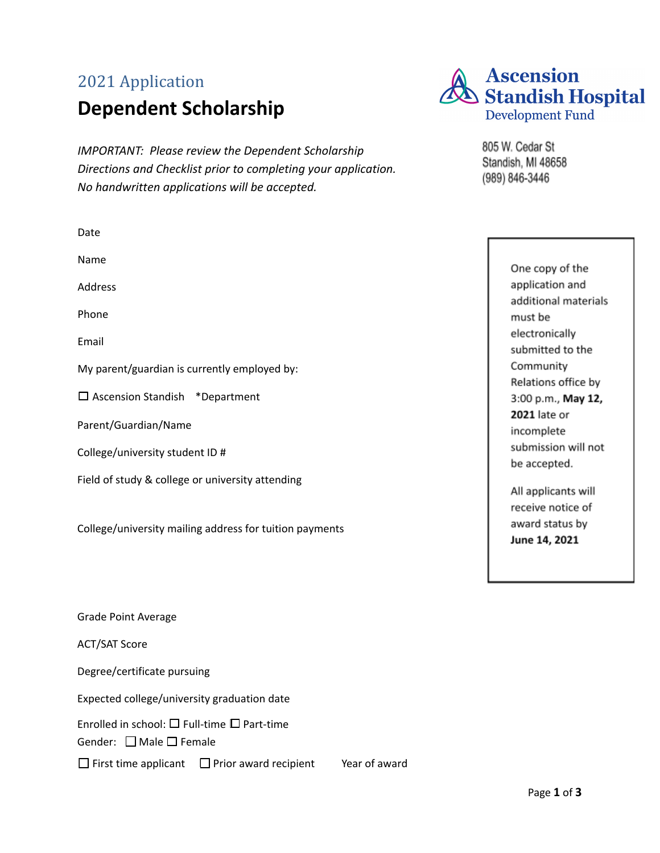# 2021 Application **Dependent Scholarship**

*IMPORTANT: Please review the Dependent Scholarship Directions and Checklist prior to completing your application. No handwritten applications will be accepted.*

| Date                                                                                             |
|--------------------------------------------------------------------------------------------------|
| Name                                                                                             |
| Address                                                                                          |
| Phone                                                                                            |
| Email                                                                                            |
| My parent/guardian is currently employed by:                                                     |
| $\Box$ Ascension Standish *Department                                                            |
| Parent/Guardian/Name                                                                             |
| College/university student ID #                                                                  |
| Field of study & college or university attending                                                 |
| College/university mailing address for tuition payments                                          |
| Grade Point Average                                                                              |
| <b>ACT/SAT Score</b>                                                                             |
| Degree/certificate pursuing                                                                      |
| Expected college/university graduation date                                                      |
| Enrolled in school: $\square$ Full-time $\square$ Part-time<br>Gender: $\Box$ Male $\Box$ Female |
| $\Box$ First time applicant<br>Year of award<br>$\Box$ Prior award recipient                     |



805 W. Cedar St Standish, MI 48658 (989) 846-3446

> One copy of the application and additional materials must be electronically submitted to the Community Relations office by 3:00 p.m., May 12, 2021 late or incomplete submission will not be accepted.

All applicants will receive notice of award status by June 14, 2021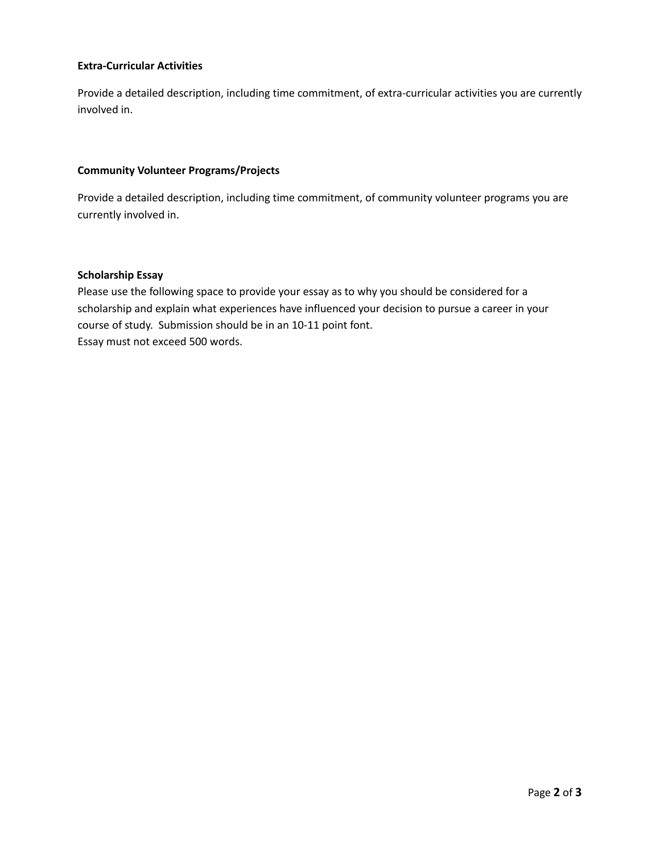## **Extra-Curricular Activities**

Provide a detailed description, including time commitment, of extra-curricular activities you are currently involved in.

#### **Community Volunteer Programs/Projects**

Provide a detailed description, including time commitment, of community volunteer programs you are currently involved in.

### **Scholarship Essay**

Please use the following space to provide your essay as to why you should be considered for a scholarship and explain what experiences have influenced your decision to pursue a career in your course of study. Submission should be in an 10-11 point font. Essay must not exceed 500 words.